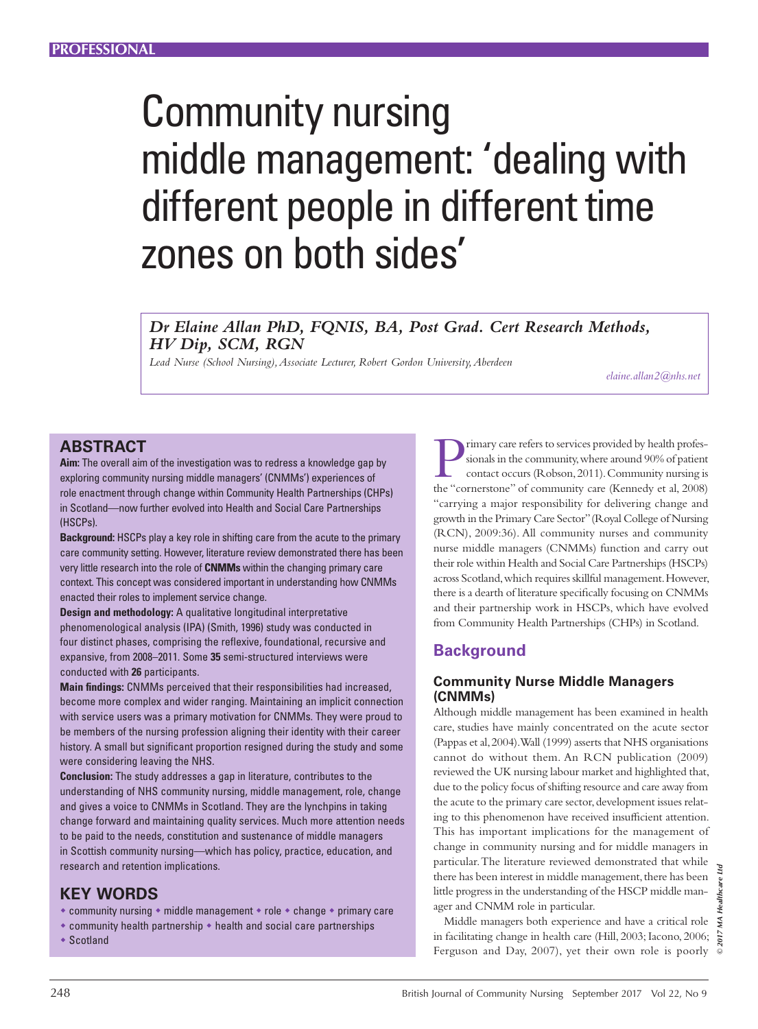# Community nursing middle management: 'dealing with different people in different time zones on both sides'

# *Dr Elaine Allan PhD, FQNIS, BA, Post Grad. Cert Research Methods, HV Dip, SCM, RGN*

*Lead Nurse (School Nursing), Associate Lecturer, Robert Gordon University, Aberdeen*

*elaine.allan2@nhs.net*

# **ABSTRACT**

**Aim:** The overall aim of the investigation was to redress a knowledge gap by exploring community nursing middle managers' (CNMMs') experiences of role enactment through change within Community Health Partnerships (CHPs) in Scotland—now further evolved into Health and Social Care Partnerships (HSCPs).

**Background:** HSCPs play a key role in shifting care from the acute to the primary care community setting. However, literature review demonstrated there has been very little research into the role of **CNMMs** within the changing primary care context. This concept was considered important in understanding how CNMMs enacted their roles to implement service change.

**Design and methodology:** A qualitative longitudinal interpretative phenomenological analysis (IPA) (Smith, 1996) study was conducted in four distinct phases, comprising the reflexive, foundational, recursive and expansive, from 2008–2011. Some **35** semi-structured interviews were conducted with **26** participants.

**Main findings:** CNMMs perceived that their responsibilities had increased, become more complex and wider ranging. Maintaining an implicit connection with service users was a primary motivation for CNMMs. They were proud to be members of the nursing profession aligning their identity with their career history. A small but significant proportion resigned during the study and some were considering leaving the NHS.

**Conclusion:** The study addresses a gap in literature, contributes to the understanding of NHS community nursing, middle management, role, change and gives a voice to CNMMs in Scotland. They are the lynchpins in taking change forward and maintaining quality services. Much more attention needs to be paid to the needs, constitution and sustenance of middle managers in Scottish community nursing—which has policy, practice, education, and research and retention implications.

# **KEY WORDS**

- community nursing middle management role change primary care
- $*$  community health partnership  $*$  health and social care partnerships  $\triangleleft$  Scotland

rimary care refers to services provided by health professionals in the community, where around 90% of patient contact occurs (Robson, 2011). Community nursing is the "cornerstone" of community care (Kennedy et al, 2008) "carrying a major responsibility for delivering change and growth in the Primary Care Sector" (Royal College of Nursing (RCN), 2009:36). All community nurses and community nurse middle managers (CNMMs) function and carry out their role within Health and Social Care Partnerships (HSCPs) across Scotland, which requires skillful management. However, there is a dearth of literature specifically focusing on CNMMs and their partnership work in HSCPs, which have evolved from Community Health Partnerships (CHPs) in Scotland.

# **Background**

## **Community Nurse Middle Managers (CNMMs)**

Although middle management has been examined in health care, studies have mainly concentrated on the acute sector (Pappas et al, 2004). Wall (1999) asserts that NHS organisations cannot do without them. An RCN publication (2009) reviewed the UK nursing labour market and highlighted that, due to the policy focus of shifting resource and care away from the acute to the primary care sector, development issues relating to this phenomenon have received insufficient attention. This has important implications for the management of change in community nursing and for middle managers in particular. The literature reviewed demonstrated that while there has been interest in middle management, there has been little progress in the understanding of the HSCP middle manager and CNMM role in particular.

Middle managers both experience and have a critical role in facilitating change in health care (Hill, 2003; Iacono, 2006; Ferguson and Day, 2007), yet their own role is poorly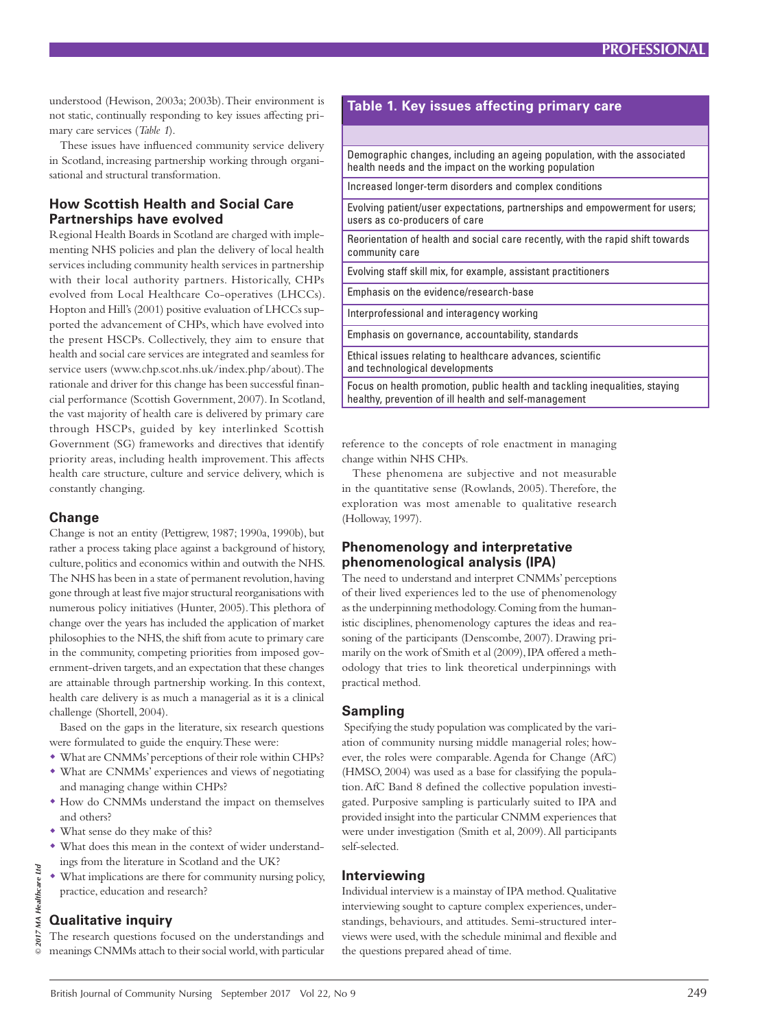understood (Hewison, 2003a; 2003b). Their environment is not static, continually responding to key issues affecting primary care services (*Table 1*).

These issues have influenced community service delivery in Scotland, increasing partnership working through organisational and structural transformation.

### **How Scottish Health and Social Care Partnerships have evolved**

Regional Health Boards in Scotland are charged with implementing NHS policies and plan the delivery of local health services including community health services in partnership with their local authority partners. Historically, CHPs evolved from Local Healthcare Co-operatives (LHCCs). Hopton and Hill's (2001) positive evaluation of LHCCs supported the advancement of CHPs, which have evolved into the present HSCPs. Collectively, they aim to ensure that health and social care services are integrated and seamless for service users (www.chp.scot.nhs.uk/index.php/about). The rationale and driver for this change has been successful financial performance (Scottish Government, 2007). In Scotland, the vast majority of health care is delivered by primary care through HSCPs, guided by key interlinked Scottish Government (SG) frameworks and directives that identify priority areas, including health improvement. This affects health care structure, culture and service delivery, which is constantly changing.

#### **Change**

Change is not an entity (Pettigrew, 1987; 1990a, 1990b), but rather a process taking place against a background of history, culture, politics and economics within and outwith the NHS. The NHS has been in a state of permanent revolution, having gone through at least five major structural reorganisations with numerous policy initiatives (Hunter, 2005). This plethora of change over the years has included the application of market philosophies to the NHS, the shift from acute to primary care in the community, competing priorities from imposed government-driven targets, and an expectation that these changes are attainable through partnership working. In this context, health care delivery is as much a managerial as it is a clinical challenge (Shortell, 2004).

Based on the gaps in the literature, six research questions were formulated to guide the enquiry. These were:

- w What are CNMMs' perceptions of their role within CHPs?
- w What are CNMMs' experiences and views of negotiating and managing change within CHPs?
- w How do CNMMs understand the impact on themselves and others?
- What sense do they make of this?
- w What does this mean in the context of wider understandings from the literature in Scotland and the UK?
- w What implications are there for community nursing policy, practice, education and research?

#### **Qualitative inquiry**

*© 2017 MA Healthcare Ltd*

2017 MA Healthcare Ltd

The research questions focused on the understandings and meanings CNMMs attach to their social world, with particular

#### **Table 1. Key issues affecting primary care**

| Demographic changes, including an ageing population, with the associated<br>health needs and the impact on the working population    |
|--------------------------------------------------------------------------------------------------------------------------------------|
| Increased longer-term disorders and complex conditions                                                                               |
| Evolving patient/user expectations, partnerships and empowerment for users;<br>users as co-producers of care                         |
| Reorientation of health and social care recently, with the rapid shift towards<br>community care                                     |
| Evolving staff skill mix, for example, assistant practitioners                                                                       |
| Emphasis on the evidence/research-base                                                                                               |
| Interprofessional and interagency working                                                                                            |
| Emphasis on governance, accountability, standards                                                                                    |
| Ethical issues relating to healthcare advances, scientific<br>and technological developments                                         |
| Focus on health promotion, public health and tackling inequalities, staying<br>healthy, prevention of ill health and self-management |

reference to the concepts of role enactment in managing change within NHS CHPs.

These phenomena are subjective and not measurable in the quantitative sense (Rowlands, 2005). Therefore, the exploration was most amenable to qualitative research (Holloway, 1997).

#### **Phenomenology and interpretative phenomenological analysis (IPA)**

The need to understand and interpret CNMMs' perceptions of their lived experiences led to the use of phenomenology as the underpinning methodology. Coming from the humanistic disciplines, phenomenology captures the ideas and reasoning of the participants (Denscombe, 2007). Drawing primarily on the work of Smith et al (2009), IPA offered a methodology that tries to link theoretical underpinnings with practical method.

#### **Sampling**

 Specifying the study population was complicated by the variation of community nursing middle managerial roles; however, the roles were comparable. Agenda for Change (AfC) (HMSO, 2004) was used as a base for classifying the population. AfC Band 8 defined the collective population investigated. Purposive sampling is particularly suited to IPA and provided insight into the particular CNMM experiences that were under investigation (Smith et al, 2009). All participants self-selected.

#### **Interviewing**

Individual interview is a mainstay of IPA method. Qualitative interviewing sought to capture complex experiences, understandings, behaviours, and attitudes. Semi-structured interviews were used, with the schedule minimal and flexible and the questions prepared ahead of time.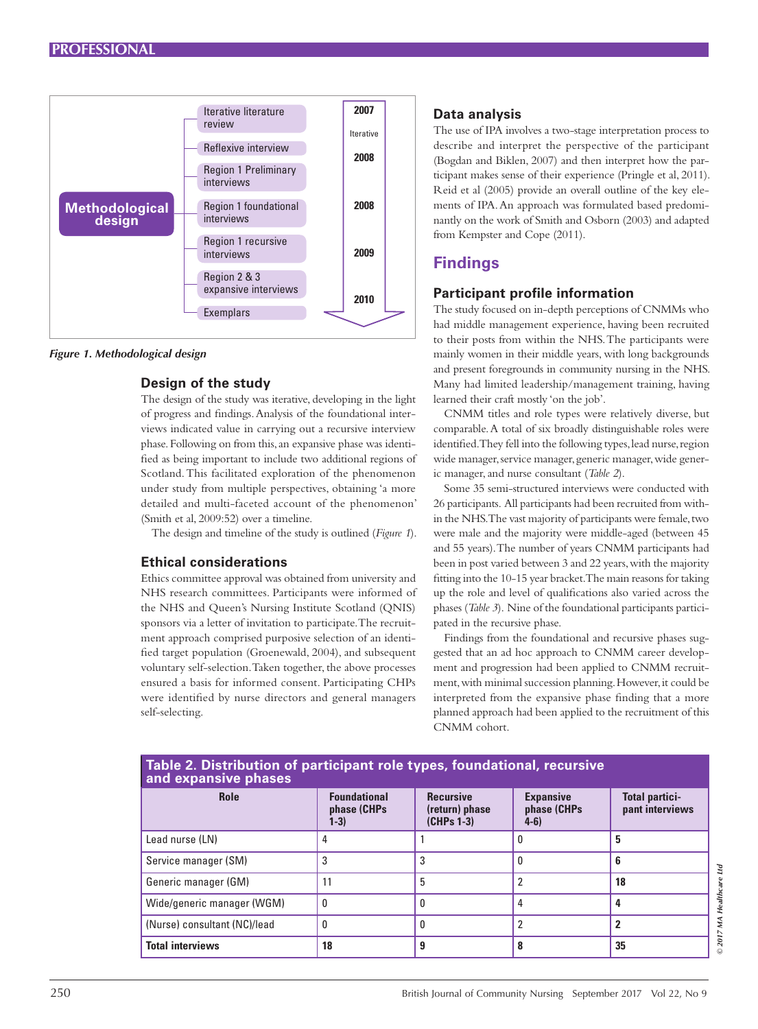

*Figure 1. Methodological design*

#### **Design of the study**

The design of the study was iterative, developing in the light of progress and findings. Analysis of the foundational interviews indicated value in carrying out a recursive interview phase. Following on from this, an expansive phase was identified as being important to include two additional regions of Scotland. This facilitated exploration of the phenomenon under study from multiple perspectives, obtaining 'a more detailed and multi-faceted account of the phenomenon' (Smith et al, 2009:52) over a timeline.

The design and timeline of the study is outlined (*Figure 1*).

#### **Ethical considerations**

Ethics committee approval was obtained from university and NHS research committees. Participants were informed of the NHS and Queen's Nursing Institute Scotland (QNIS) sponsors via a letter of invitation to participate. The recruitment approach comprised purposive selection of an identified target population (Groenewald, 2004), and subsequent voluntary self-selection. Taken together, the above processes ensured a basis for informed consent. Participating CHPs were identified by nurse directors and general managers self-selecting.

#### **Data analysis**

The use of IPA involves a two-stage interpretation process to describe and interpret the perspective of the participant (Bogdan and Biklen, 2007) and then interpret how the participant makes sense of their experience (Pringle et al, 2011). Reid et al (2005) provide an overall outline of the key elements of IPA. An approach was formulated based predominantly on the work of Smith and Osborn (2003) and adapted from Kempster and Cope (2011).

# **Findings**

#### **Participant profile information**

The study focused on in-depth perceptions of CNMMs who had middle management experience, having been recruited to their posts from within the NHS. The participants were mainly women in their middle years, with long backgrounds and present foregrounds in community nursing in the NHS. Many had limited leadership/management training, having learned their craft mostly 'on the job'.

CNMM titles and role types were relatively diverse, but comparable. A total of six broadly distinguishable roles were identified. They fell into the following types, lead nurse, region wide manager, service manager, generic manager, wide generic manager, and nurse consultant (*Table 2*).

Some 35 semi-structured interviews were conducted with 26 participants. All participants had been recruited from within the NHS. The vast majority of participants were female, two were male and the majority were middle-aged (between 45 and 55 years). The number of years CNMM participants had been in post varied between 3 and 22 years, with the majority fitting into the 10-15 year bracket. The main reasons for taking up the role and level of qualifications also varied across the phases (*Table 3*). Nine of the foundational participants participated in the recursive phase.

Findings from the foundational and recursive phases suggested that an ad hoc approach to CNMM career development and progression had been applied to CNMM recruitment, with minimal succession planning. However, it could be interpreted from the expansive phase finding that a more planned approach had been applied to the recruitment of this CNMM cohort.

| and expansive phases         |                                            |                                                  |                                           |                                          |
|------------------------------|--------------------------------------------|--------------------------------------------------|-------------------------------------------|------------------------------------------|
| <b>Role</b>                  | <b>Foundational</b><br>phase (CHPs<br>1-3) | <b>Recursive</b><br>(return) phase<br>(CHPs 1-3) | <b>Expansive</b><br>phase (CHPs<br>$4-6)$ | <b>Total partici-</b><br>pant interviews |
| Lead nurse (LN)              | 4                                          |                                                  |                                           |                                          |
| Service manager (SM)         | 3                                          |                                                  |                                           |                                          |
| Generic manager (GM)         |                                            | 5                                                |                                           | 18                                       |
| Wide/generic manager (WGM)   | 0                                          |                                                  | 4                                         |                                          |
| (Nurse) consultant (NC)/lead | 0                                          |                                                  |                                           |                                          |
| <b>Total interviews</b>      | 18                                         |                                                  |                                           | 35                                       |

**Table 2. Distribution of participant role types, foundational, recursive** 

2017 MA Healthcare Ltd *© 2017 MA Healthcare Ltd*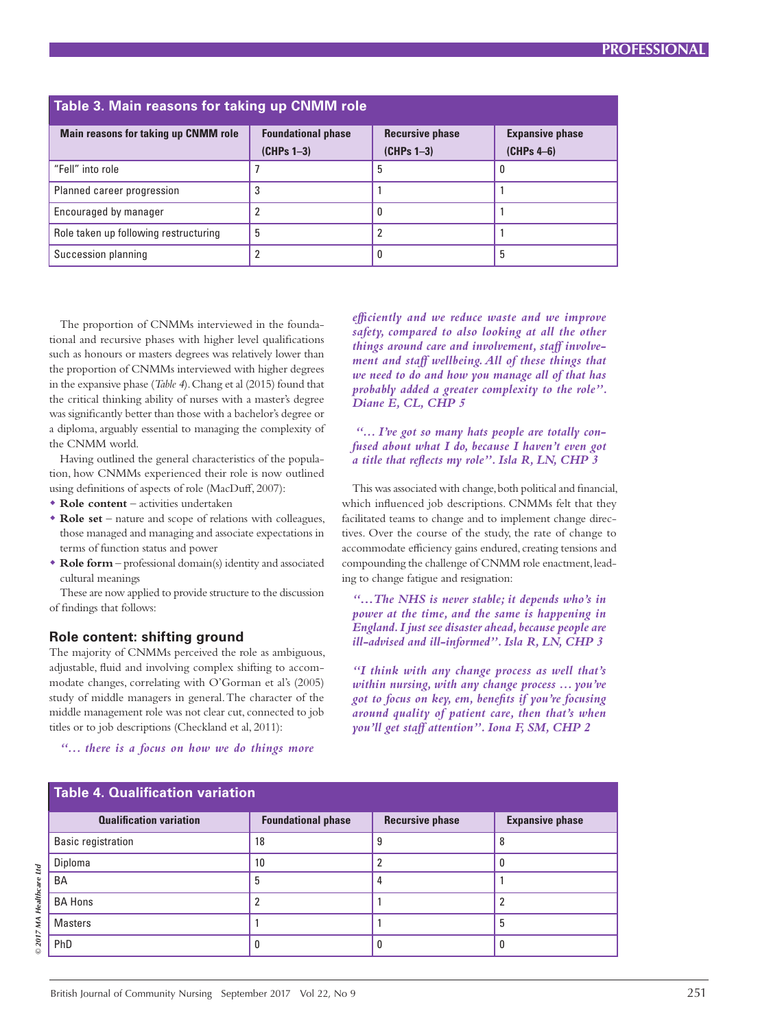| Table 3. Main reasons for taking up CNMM role |                                           |                                        |                                        |
|-----------------------------------------------|-------------------------------------------|----------------------------------------|----------------------------------------|
| <b>Main reasons for taking up CNMM role</b>   | <b>Foundational phase</b><br>$(CHPs 1-3)$ | <b>Recursive phase</b><br>$(CHPs 1-3)$ | <b>Expansive phase</b><br>$(CHPs 4-6)$ |
| "Fell" into role                              |                                           |                                        |                                        |
| Planned career progression                    |                                           |                                        |                                        |
| Encouraged by manager                         |                                           |                                        |                                        |
| Role taken up following restructuring         |                                           |                                        |                                        |
| Succession planning                           |                                           |                                        |                                        |

# **Table 3. Main reasons for taking up CNMM role**

The proportion of CNMMs interviewed in the foundational and recursive phases with higher level qualifications such as honours or masters degrees was relatively lower than the proportion of CNMMs interviewed with higher degrees in the expansive phase (*Table 4*). Chang et al (2015) found that the critical thinking ability of nurses with a master's degree was significantly better than those with a bachelor's degree or a diploma, arguably essential to managing the complexity of the CNMM world.

Having outlined the general characteristics of the population, how CNMMs experienced their role is now outlined using definitions of aspects of role (MacDuff, 2007):

- **\* Role content** activities undertaken
- w **Role set** nature and scope of relations with colleagues, those managed and managing and associate expectations in terms of function status and power
- w **Role form** professional domain(s) identity and associated cultural meanings

These are now applied to provide structure to the discussion of findings that follows:

#### **Role content: shifting ground**

The majority of CNMMs perceived the role as ambiguous, adjustable, fluid and involving complex shifting to accommodate changes, correlating with O'Gorman et al's (2005) study of middle managers in general. The character of the middle management role was not clear cut, connected to job titles or to job descriptions (Checkland et al, 2011):

*"... there is a focus on how we do things more* 

*efficiently and we reduce waste and we improve safety, compared to also looking at all the other things around care and involvement, staff involvement and staff wellbeing. All of these things that we need to do and how you manage all of that has probably added a greater complexity to the role". Diane E, CL, CHP 5*

 *"... I've got so many hats people are totally confused about what I do, because I haven't even got a title that reflects my role". Isla R, LN, CHP 3*

This was associated with change, both political and financial, which influenced job descriptions. CNMMs felt that they facilitated teams to change and to implement change directives. Over the course of the study, the rate of change to accommodate efficiency gains endured, creating tensions and compounding the challenge of CNMM role enactment, leading to change fatigue and resignation:

*"…The NHS is never stable; it depends who's in power at the time, and the same is happening in England. I just see disaster ahead, because people are ill-advised and ill-informed". Isla R, LN, CHP 3* 

*"I think with any change process as well that's within nursing, with any change process ... you've got to focus on key, em, benefits if you're focusing around quality of patient care, then that's when you'll get staff attention". Iona F, SM, CHP 2* 

| <b>Table 4. Qualification variation</b> |                           |                        |                        |  |
|-----------------------------------------|---------------------------|------------------------|------------------------|--|
| <b>Qualification variation</b>          | <b>Foundational phase</b> | <b>Recursive phase</b> | <b>Expansive phase</b> |  |
| <b>Basic registration</b>               | 18                        |                        | 8                      |  |
| Diploma                                 | 10                        |                        |                        |  |
| <b>BA</b>                               | 5                         |                        |                        |  |
| <b>BA Hons</b>                          |                           |                        |                        |  |
| <b>Masters</b>                          |                           |                        | 5                      |  |
| PhD                                     |                           |                        |                        |  |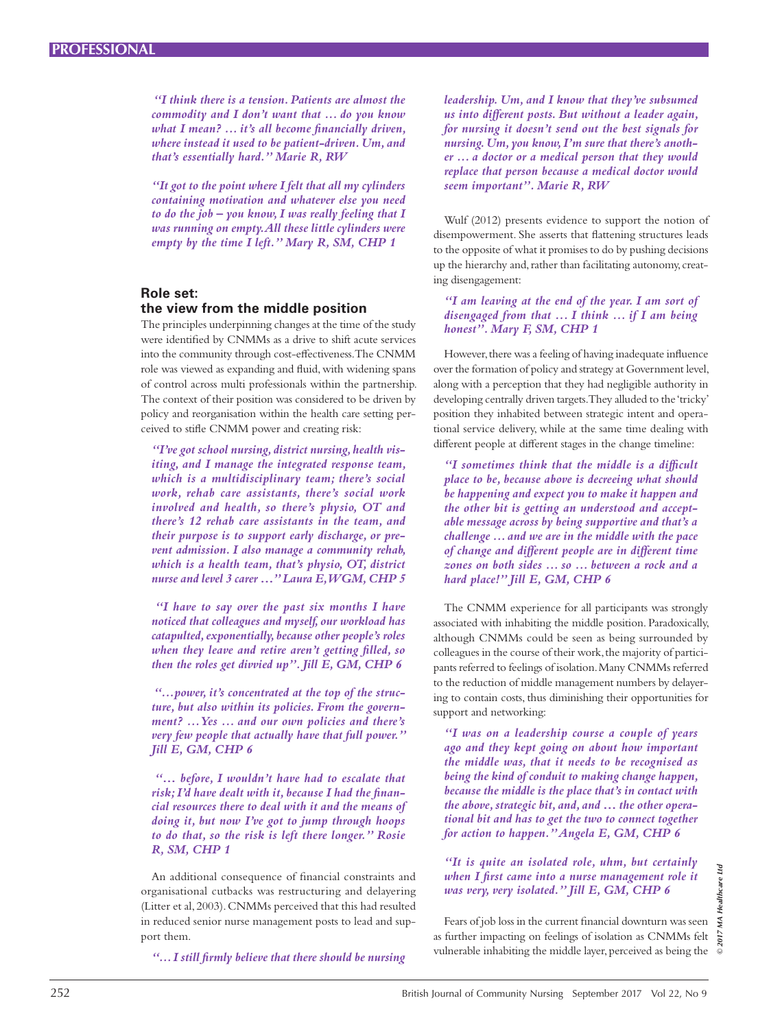*"I think there is a tension. Patients are almost the commodity and I don't want that ... do you know what I mean? ... it's all become financially driven, where instead it used to be patient-driven. Um, and that's essentially hard." Marie R, RW*

*"It got to the point where I felt that all my cylinders containing motivation and whatever else you need to do the job – you know, I was really feeling that I was running on empty. All these little cylinders were empty by the time I left." Mary R, SM, CHP 1*

# **Role set: the view from the middle position**

The principles underpinning changes at the time of the study were identified by CNMMs as a drive to shift acute services into the community through cost-effectiveness. The CNMM role was viewed as expanding and fluid, with widening spans of control across multi professionals within the partnership. The context of their position was considered to be driven by policy and reorganisation within the health care setting perceived to stifle CNMM power and creating risk:

*"I've got school nursing, district nursing, health visiting, and I manage the integrated response team, which is a multidisciplinary team; there's social work, rehab care assistants, there's social work involved and health, so there's physio, OT and there's 12 rehab care assistants in the team, and their purpose is to support early discharge, or prevent admission. I also manage a community rehab, which is a health team, that's physio, OT, district nurse and level 3 carer …" Laura E, WGM, CHP 5*

 *"I have to say over the past six months I have noticed that colleagues and myself, our workload has catapulted, exponentially, because other people's roles when they leave and retire aren't getting filled, so then the roles get divvied up". Jill E, GM, CHP 6*

 *"...power, it's concentrated at the top of the structure, but also within its policies. From the government? ... Yes ... and our own policies and there's very few people that actually have that full power." Jill E, GM, CHP 6*

 *"… before, I wouldn't have had to escalate that risk; I'd have dealt with it, because I had the financial resources there to deal with it and the means of doing it, but now I've got to jump through hoops to do that, so the risk is left there longer." Rosie R, SM, CHP 1* 

An additional consequence of financial constraints and organisational cutbacks was restructuring and delayering (Litter et al, 2003). CNMMs perceived that this had resulted in reduced senior nurse management posts to lead and support them.

*"... I still firmly believe that there should be nursing* 

*leadership. Um, and I know that they've subsumed us into different posts. But without a leader again, for nursing it doesn't send out the best signals for nursing. Um, you know, I'm sure that there's another ... a doctor or a medical person that they would replace that person because a medical doctor would seem important". Marie R, RW* 

Wulf (2012) presents evidence to support the notion of disempowerment. She asserts that flattening structures leads to the opposite of what it promises to do by pushing decisions up the hierarchy and, rather than facilitating autonomy, creating disengagement:

#### *"I am leaving at the end of the year. I am sort of disengaged from that ... I think ... if I am being honest". Mary F, SM, CHP 1*

However, there was a feeling of having inadequate influence over the formation of policy and strategy at Government level, along with a perception that they had negligible authority in developing centrally driven targets. They alluded to the 'tricky' position they inhabited between strategic intent and operational service delivery, while at the same time dealing with different people at different stages in the change timeline:

*"I sometimes think that the middle is a difficult place to be, because above is decreeing what should be happening and expect you to make it happen and the other bit is getting an understood and acceptable message across by being supportive and that's a challenge ... and we are in the middle with the pace of change and different people are in different time zones on both sides ... so ... between a rock and a hard place!" Jill E, GM, CHP 6*

The CNMM experience for all participants was strongly associated with inhabiting the middle position. Paradoxically, although CNMMs could be seen as being surrounded by colleagues in the course of their work, the majority of participants referred to feelings of isolation. Many CNMMs referred to the reduction of middle management numbers by delayering to contain costs, thus diminishing their opportunities for support and networking:

*"I was on a leadership course a couple of years ago and they kept going on about how important the middle was, that it needs to be recognised as being the kind of conduit to making change happen, because the middle is the place that's in contact with the above, strategic bit, and, and … the other operational bit and has to get the two to connect together for action to happen." Angela E, GM, CHP 6*

#### *"It is quite an isolated role, uhm, but certainly when I first came into a nurse management role it was very, very isolated." Jill E, GM, CHP 6*

Fears of job loss in the current financial downturn was seen as further impacting on feelings of isolation as CNMMs felt vulnerable inhabiting the middle layer, perceived as being the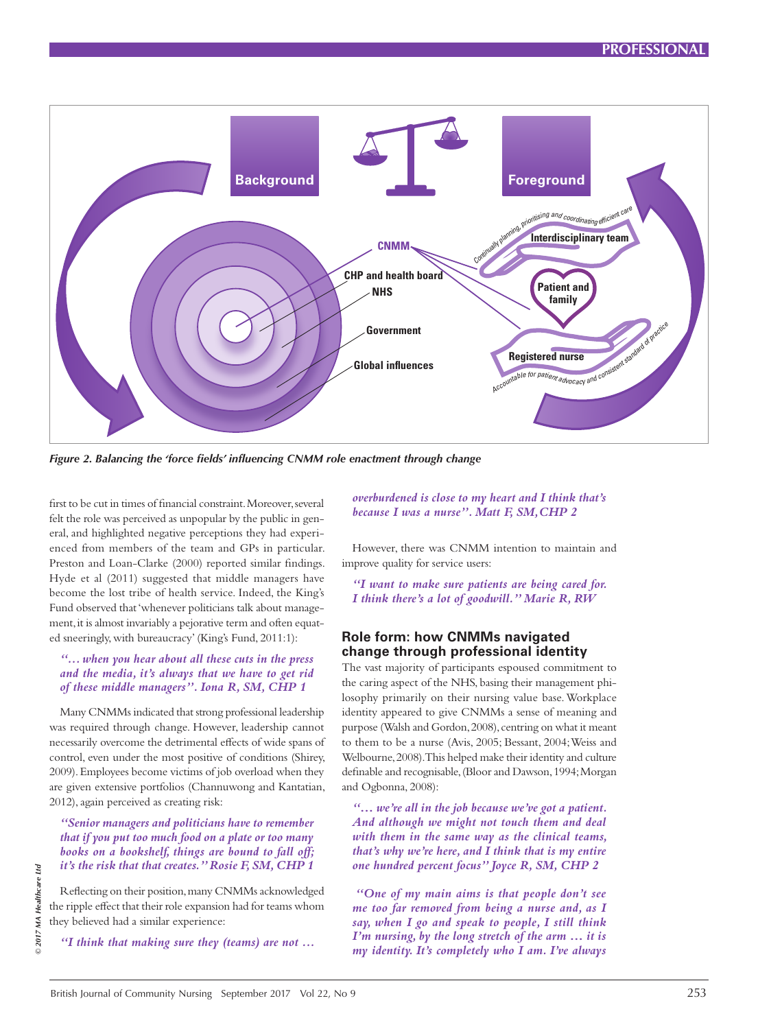

*Figure 2. Balancing the 'force fields' influencing CNMM role enactment through change*

first to be cut in times of financial constraint. Moreover, several felt the role was perceived as unpopular by the public in general, and highlighted negative perceptions they had experienced from members of the team and GPs in particular. Preston and Loan-Clarke (2000) reported similar findings. Hyde et al (2011) suggested that middle managers have become the lost tribe of health service. Indeed, the King's Fund observed that 'whenever politicians talk about management, it is almost invariably a pejorative term and often equated sneeringly, with bureaucracy' (King's Fund, 2011:1):

#### *"... when you hear about all these cuts in the press and the media, it's always that we have to get rid of these middle managers". Iona R, SM, CHP 1*

Many CNMMs indicated that strong professional leadership was required through change. However, leadership cannot necessarily overcome the detrimental effects of wide spans of control, even under the most positive of conditions (Shirey, 2009). Employees become victims of job overload when they are given extensive portfolios (Channuwong and Kantatian, 2012), again perceived as creating risk:

*"Senior managers and politicians have to remember that if you put too much food on a plate or too many books on a bookshelf, things are bound to fall off; it's the risk that that creates." Rosie F, SM, CHP 1* 

Reflecting on their position, many CNMMs acknowledged the ripple effect that their role expansion had for teams whom they believed had a similar experience:

*© 2017 MA Healthcare Ltd*

2017 MA Healthcare Ltd

*"I think that making sure they (teams) are not ...* 

*overburdened is close to my heart and I think that's because I was a nurse". Matt F, SM,CHP 2*

However, there was CNMM intention to maintain and improve quality for service users:

*"I want to make sure patients are being cared for. I think there's a lot of goodwill." Marie R, RW* 

#### **Role form: how CNMMs navigated change through professional identity**

The vast majority of participants espoused commitment to the caring aspect of the NHS, basing their management philosophy primarily on their nursing value base. Workplace identity appeared to give CNMMs a sense of meaning and purpose (Walsh and Gordon, 2008), centring on what it meant to them to be a nurse (Avis, 2005; Bessant, 2004; Weiss and Welbourne, 2008). This helped make their identity and culture definable and recognisable, (Bloor and Dawson, 1994; Morgan and Ogbonna, 2008):

*"… we're all in the job because we've got a patient. And although we might not touch them and deal with them in the same way as the clinical teams, that's why we're here, and I think that is my entire one hundred percent focus" Joyce R, SM, CHP 2*

 *"One of my main aims is that people don't see me too far removed from being a nurse and, as I say, when I go and speak to people, I still think I'm nursing, by the long stretch of the arm … it is my identity. It's completely who I am. I've always*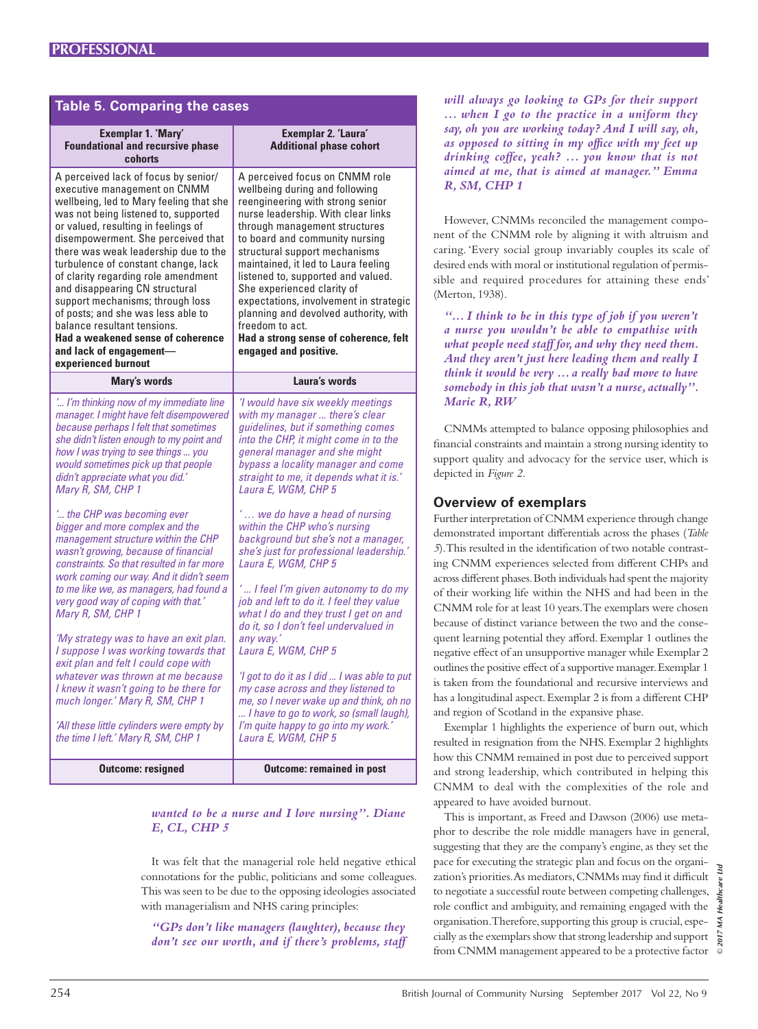| Table 5. Comparing the cases |  |  |  |
|------------------------------|--|--|--|
|                              |  |  |  |

**Exemplar 1. 'Mary' Foundational and recursive phase cohorts**

A perceived lack of focus by senior/ executive management on CNMM wellbeing, led to Mary feeling that she was not being listened to, supported or valued, resulting in feelings of disempowerment. She perceived that there was weak leadership due to the turbulence of constant change, lack of clarity regarding role amendment and disappearing CN structural support mechanisms; through loss of posts; and she was less able to balance resultant tensions. **Had a weakened sense of coherence and lack of engagement experienced burnout**

#### **Exemplar 2. 'Laura' Additional phase cohort**

A perceived focus on CNMM role wellbeing during and following reengineering with strong senior nurse leadership. With clear links through management structures to board and community nursing structural support mechanisms maintained, it led to Laura feeling listened to, supported and valued. She experienced clarity of expectations, involvement in strategic planning and devolved authority, with freedom to act. **Had a strong sense of coherence, felt** 

**engaged and positive.**

**Mary's words Laura's words**

| Mary's words                                                                                                                                                                                                                                                                              |  |
|-------------------------------------------------------------------------------------------------------------------------------------------------------------------------------------------------------------------------------------------------------------------------------------------|--|
| " I'm thinking now of my immediate line<br>manager. I might have felt disempowered<br>because perhaps I felt that sometimes<br>she didn't listen enough to my point and<br>how I was trying to see things  you<br>would sometimes pick up that people<br>didn't appreciate what you did.' |  |

*'... the CHP was becoming ever bigger and more complex and the management structure within the CHP wasn't growing, because of financial constraints. So that resulted in far more work coming our way. And it didn't seem to me like we, as managers, had found a very good way of coping with that.' Mary R, SM, CHP 1*

*Mary R, SM, CHP 1*

*'My strategy was to have an exit plan. I suppose I was working towards that exit plan and felt I could cope with whatever was thrown at me because I knew it wasn't going to be there for much longer.' Mary R, SM, CHP 1*

*'All these little cylinders were empty by the time I left.' Mary R, SM, CHP 1* 

*'I would have six weekly meetings with my manager ... there's clear guidelines, but if something comes into the CHP, it might come in to the general manager and she might bypass a locality manager and come straight to me, it depends what it is.' Laura E, WGM, CHP 5*

*' … we do have a head of nursing within the CHP who's nursing background but she's not a manager, she's just for professional leadership.' Laura E, WGM, CHP 5*

*' ... I feel I'm given autonomy to do my job and left to do it. I feel they value what I do and they trust I get on and do it, so I don't feel undervalued in any way.' Laura E, WGM, CHP 5*

*'I got to do it as I did ... I was able to put my case across and they listened to me, so I never wake up and think, oh no ... I have to go to work, so (small laugh), I'm quite happy to go into my work.' Laura E, WGM, CHP 5*

**Outcome: resigned Outcome: remained in post**

*wanted to be a nurse and I love nursing". Diane E, CL, CHP 5*

It was felt that the managerial role held negative ethical connotations for the public, politicians and some colleagues. This was seen to be due to the opposing ideologies associated with managerialism and NHS caring principles:

*"GPs don't like managers (laughter), because they don't see our worth, and if there's problems, staff* 

*will always go looking to GPs for their support ... when I go to the practice in a uniform they say, oh you are working today? And I will say, oh, as opposed to sitting in my office with my feet up drinking coffee, yeah? ... you know that is not aimed at me, that is aimed at manager." Emma R, SM, CHP 1* 

However, CNMMs reconciled the management component of the CNMM role by aligning it with altruism and caring. 'Every social group invariably couples its scale of desired ends with moral or institutional regulation of permissible and required procedures for attaining these ends' (Merton, 1938).

*"... I think to be in this type of job if you weren't a nurse you wouldn't be able to empathise with what people need staff for, and why they need them. And they aren't just here leading them and really I think it would be very ... a really bad move to have somebody in this job that wasn't a nurse, actually". Marie R, RW* 

CNMMs attempted to balance opposing philosophies and financial constraints and maintain a strong nursing identity to support quality and advocacy for the service user, which is depicted in *Figure 2*.

# **Overview of exemplars**

Further interpretation of CNMM experience through change demonstrated important differentials across the phases (*Table 5*). This resulted in the identification of two notable contrasting CNMM experiences selected from different CHPs and across different phases. Both individuals had spent the majority of their working life within the NHS and had been in the CNMM role for at least 10 years. The exemplars were chosen because of distinct variance between the two and the consequent learning potential they afford. Exemplar 1 outlines the negative effect of an unsupportive manager while Exemplar 2 outlines the positive effect of a supportive manager. Exemplar 1 is taken from the foundational and recursive interviews and has a longitudinal aspect. Exemplar 2 is from a different CHP and region of Scotland in the expansive phase.

Exemplar 1 highlights the experience of burn out, which resulted in resignation from the NHS. Exemplar 2 highlights how this CNMM remained in post due to perceived support and strong leadership, which contributed in helping this CNMM to deal with the complexities of the role and appeared to have avoided burnout.

This is important, as Freed and Dawson (2006) use metaphor to describe the role middle managers have in general, suggesting that they are the company's engine, as they set the pace for executing the strategic plan and focus on the organization's priorities. As mediators, CNMMs may find it difficult to negotiate a successful route between competing challenges, role conflict and ambiguity, and remaining engaged with the organisation. Therefore, supporting this group is crucial, especially as the exemplars show that strong leadership and support from CNMM management appeared to be a protective factor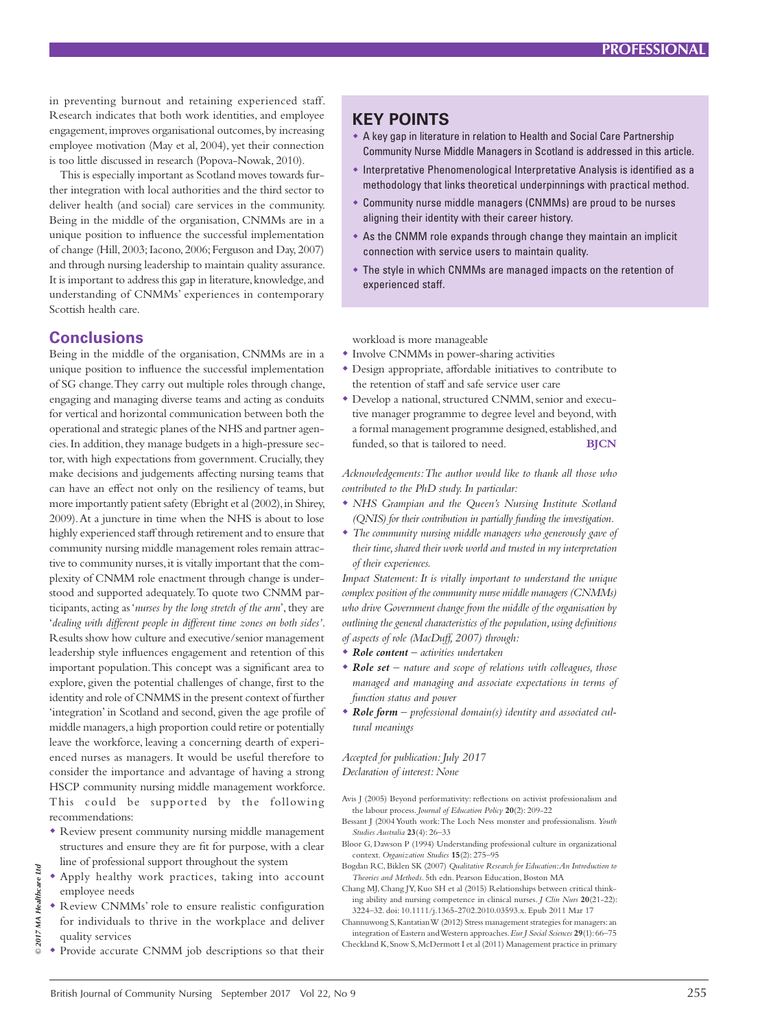in preventing burnout and retaining experienced staff. Research indicates that both work identities, and employee engagement, improves organisational outcomes, by increasing employee motivation (May et al, 2004), yet their connection is too little discussed in research (Popova-Nowak, 2010).

This is especially important as Scotland moves towards further integration with local authorities and the third sector to deliver health (and social) care services in the community. Being in the middle of the organisation, CNMMs are in a unique position to influence the successful implementation of change (Hill, 2003; Iacono, 2006; Ferguson and Day, 2007) and through nursing leadership to maintain quality assurance. It is important to address this gap in literature, knowledge, and understanding of CNMMs' experiences in contemporary Scottish health care.

# **Conclusions**

Being in the middle of the organisation, CNMMs are in a unique position to influence the successful implementation of SG change. They carry out multiple roles through change, engaging and managing diverse teams and acting as conduits for vertical and horizontal communication between both the operational and strategic planes of the NHS and partner agencies. In addition, they manage budgets in a high-pressure sector, with high expectations from government. Crucially, they make decisions and judgements affecting nursing teams that can have an effect not only on the resiliency of teams, but more importantly patient safety (Ebright et al (2002), in Shirey, 2009). At a juncture in time when the NHS is about to lose highly experienced staff through retirement and to ensure that community nursing middle management roles remain attractive to community nurses, it is vitally important that the complexity of CNMM role enactment through change is understood and supported adequately. To quote two CNMM participants, acting as '*nurses by the long stretch of the arm*', they are '*dealing with different people in different time zones on both sides'*. Results show how culture and executive/senior management leadership style influences engagement and retention of this important population. This concept was a significant area to explore, given the potential challenges of change, first to the identity and role of CNMMS in the present context of further 'integration' in Scotland and second, given the age profile of middle managers, a high proportion could retire or potentially leave the workforce, leaving a concerning dearth of experienced nurses as managers. It would be useful therefore to consider the importance and advantage of having a strong HSCP community nursing middle management workforce. This could be supported by the following recommendations:

- $\bullet$  Review present community nursing middle management structures and ensure they are fit for purpose, with a clear line of professional support throughout the system
- \* Apply healthy work practices, taking into account employee needs
- Review CNMMs' role to ensure realistic configuration for individuals to thrive in the workplace and deliver quality services

*© 2017 MA Healthcare Ltd*

© 2017 MA Healthcare

Ltd

w Provide accurate CNMM job descriptions so that their

# **KEY POINTS**

- \* A key gap in literature in relation to Health and Social Care Partnership Community Nurse Middle Managers in Scotland is addressed in this article.
- **Interpretative Phenomenological Interpretative Analysis is identified as a** methodology that links theoretical underpinnings with practical method.
- Community nurse middle managers (CNMMs) are proud to be nurses aligning their identity with their career history.
- $\triangle$  As the CNMM role expands through change they maintain an implicit connection with service users to maintain quality.
- **•** The style in which CNMMs are managed impacts on the retention of experienced staff.

workload is more manageable

- $*$  Involve CNMMs in power-sharing activities
- $\bullet$  Design appropriate, affordable initiatives to contribute to the retention of staff and safe service user care
- w Develop a national, structured CNMM, senior and executive manager programme to degree level and beyond, with a formal management programme designed, established, and funded, so that is tailored to need. **BJCN**

*Acknowledgements: The author would like to thank all those who contributed to the PhD study. In particular:*

- **NHS Grampian and the Queen's Nursing Institute Scotland** *(QNIS) for their contribution in partially funding the investigation.*
- **\*** The community nursing middle managers who generously gave of *their time, shared their work world and trusted in my interpretation of their experiences.*

*Impact Statement: It is vitally important to understand the unique complex position of the community nurse middle managers (CNMMs) who drive Government change from the middle of the organisation by outlining the general characteristics of the population, using definitions of aspects of role (MacDuff, 2007) through:*

- w *Role content activities undertaken*
- w *Role set nature and scope of relations with colleagues, those managed and managing and associate expectations in terms of function status and power*
- w *Role form professional domain(s) identity and associated cultural meanings*

*Accepted for publication: July 2017 Declaration of interest: None*

- Avis J (2005) Beyond performativity: reflections on activist professionalism and the labour process. *Journal of Education Policy* **20**(2): 209-22
- Bessant J (2004 Youth work: The Loch Ness monster and professionalism. *Youth Studies Australia* **23**(4): 26–33
- Bloor G, Dawson P (1994) Understanding professional culture in organizational context. *Organization Studies* **15**(2): 275–95
- Bogdan RC, Biklen SK (2007) *Qualitative Research for Education: An Introduction to Theories and Methods*. 5th edn. Pearson Education, Boston MA
- Chang MJ, Chang JY, Kuo SH et al (2015) Relationships between critical thinking ability and nursing competence in clinical nurses. *J Clin Nurs* **20**(21-22): 3224–32. doi: 10.1111/j.1365-2702.2010.03593.x. Epub 2011 Mar 17
- Channuwong S, Kantatian W (2012) Stress management strategies for managers: an integration of Eastern and Western approaches. *Eur J Social Sciences* **29**(1): 66–75 Checkland K, Snow S, McDermott I et al (2011) Management practice in primary